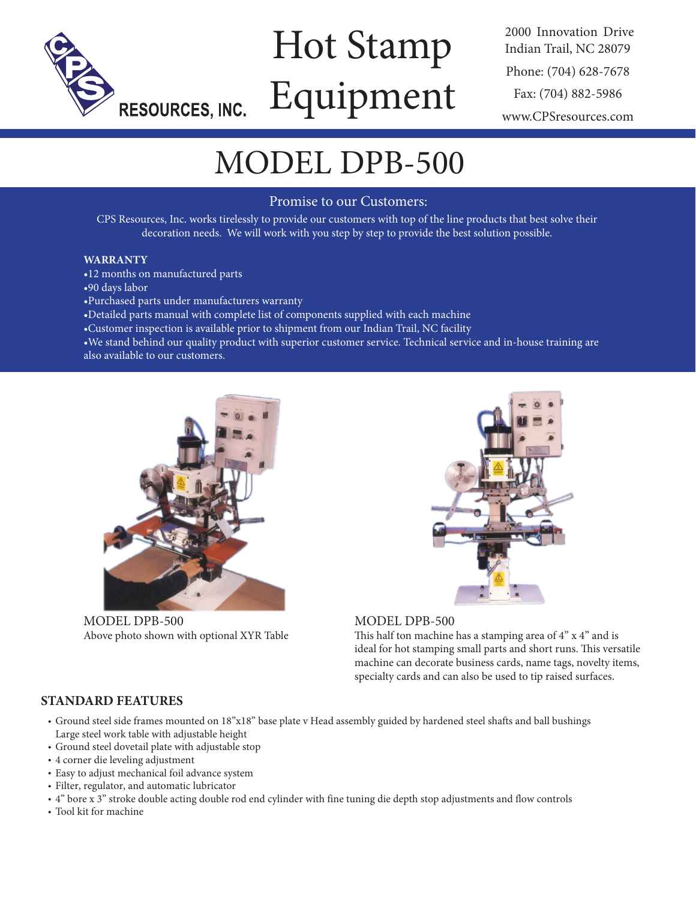

# Hot Stamp Equipment

2000 Innovation Drive Indian Trail, NC 28079 Phone: (704) 628-7678 Fax: (704) 882-5986 www.CPSresources.com

## MODEL DPB-500

#### Promise to our Customers:

CPS Resources, Inc. works tirelessly to provide our customers with top of the line products that best solve their decoration needs. We will work with you step by step to provide the best solution possible.

#### **WARRANTY**

- •12 months on manufactured parts
- •90 days labor
- •Purchased parts under manufacturers warranty
- •Detailed parts manual with complete list of components supplied with each machine
- •Customer inspection is available prior to shipment from our Indian Trail, NC facility

•We stand behind our quality product with superior customer service. Technical service and in-house training are also available to our customers.



MODEL DPB-500 Above photo shown with optional XYR Table



#### MODEL DPB-500

This half ton machine has a stamping area of 4" x 4" and is ideal for hot stamping small parts and short runs. This versatile machine can decorate business cards, name tags, novelty items, specialty cards and can also be used to tip raised surfaces.

#### **STANDARD FEATURES**

- Ground steel side frames mounted on 18"x18" base plate v Head assembly guided by hardened steel shafts and ball bushings Large steel work table with adjustable height
- Ground steel dovetail plate with adjustable stop
- 4 corner die leveling adjustment
- Easy to adjust mechanical foil advance system
- Filter, regulator, and automatic lubricator
- 4" bore x 3" stroke double acting double rod end cylinder with fine tuning die depth stop adjustments and flow controls
- Tool kit for machine